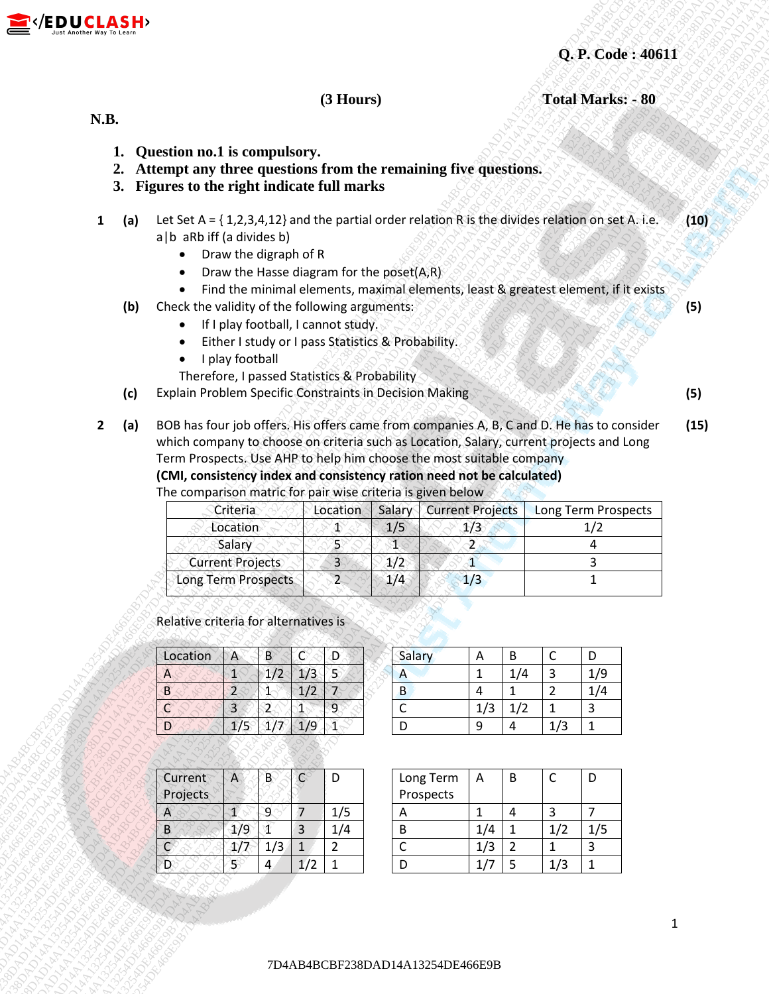



 **(3 Hours) Total Marks: - 80**

## **N.B.**

- **1. Question no.1 is compulsory.**
- **2. Attempt any three questions from the remaining five questions.**
- **3. Figures to the right indicate full marks**
- **1 (a)** Let Set A = { 1,2,3,4,12} and the partial order relation R is the divides relation on set A. i.e. a|b aRb iff (a divides b) **(10)**
	- Draw the digraph of R
	- Draw the Hasse diagram for the poset $(A, R)$
	- Find the minimal elements, maximal elements, least & greatest element, if it exists
	- **(b)** Check the validity of the following arguments:
		- **If I play football, I cannot study.**
		- Either I study or I pass Statistics & Probability.
		- I play football
		- Therefore, I passed Statistics & Probability
	- **(c)** Explain Problem Specific Constraints in Decision Making **(5)**
- **EDUCASH**<br> **12 Bending man)** is computed to the remainder five questions.<br> **2.** Attempt any three questions from the remainder for equestions.<br> **3.** Figure to the relation for the remainder for example and the remainder f **12. CENE ALSA A13**<br>
1. October 1830 Alsa Computer Computer Computer Computer Computer Computer Computer Computer Computer Computer Computer Computer Computer Computer Computer Computer Computer Computer Computer Comput **12D ULCLASH**<br> **13.** Our distribution (13) the equation control intermediate properties with the control intermediate properties of the equation of the equation (a) and the equation of the equation of the equation (a)  $\rightarrow$ **2D**<br> **1D**<br>
1D41324DE46E9B7D4AB4CBF23BADAD14A13251DE47BCBF23BAD4BCBF238DAD14A13254DE46E9B7D4AB4CBF238DAD14A13254DE46E9B7D4AB44E43DAD14A13254DE46E9B7D4A<br>
1D413254DE46E9B7D4AB4CBF23BCF23BCF23BAD4CBF23BCF23BCF23BCF23BCF23BCF **2D**+CRO **CALCAS EPh<br>
1. Question and in computators:<br>
2. Matempt any three grandinates from the remaining five questions:<br>
2. Matempt any three grand methods for the content of the problem of the state of the state of th 2D**+CRO **CALCAS EPh<br>
1. Question and in computators:<br>
2. Matempt any three grandinates from the remaining five questions:<br>
2. Matempt any three grand methods for the content of the problem of the state of the state of th 2D**+CRO **CALCAS EPh<br>
1. Question and in computators:<br>
2. Matempt any three grandinates from the remaining five questions:<br>
2. Matempt any three grand methods for the content of the problem of the state of the state of th 2D**+CRO **CALCAS EPh<br>
1. Question and in computators:<br>
2. Matempt any three grandinates from the remaining five questions:<br>
2. Matempt any three grand methods for the content of the problem of the state of the state of th 2D**+CRO **CALCAS EPh<br>
1. Question and in computators:<br>
2. Matempt any three grandinates from the remaining five questions:<br>
2. Matempt any three grand methods for the content of the problem of the state of the state of th 2D**+CRO **CALCAS EPh<br>
1. Question and in computators:<br>
2. Matempt any three grandinates from the remaining five questions:<br>
2. Matempt any three grand methods for the content of the problem of the state of the state of th 2D**+CRO **CALCAS EPh<br>
1. Question and in computators:<br>
2. Matempt any three grandinates from the remaining five questions:<br>
2. Matempt any three grand methods for the content of the problem of the state of the state of th 2D**+CRO **CALCAS EPh<br>
1. Question and in computators:<br>
2. Matempt any three grandinates from the remaining five questions:<br>
2. Matempt any three grand methods for the content of the problem of the state of the state of th 2D**+CRO **CALCAS EPh<br>
1. Question and in computators:<br>
2. Matempt any three grandinates from the remaining five questions:<br>
2. Matempt any three grand methods for the content of the problem of the state of the state of th 2D**+CRO **CALCAS EPh<br>
1. Question and in computators:<br>
2. Matempt any three grandinates from the remaining five questions:<br>
2. Matempt any three grand methods for the content of the problem of the state of the state of th 2D**  $\star$ **CBLUCAS14b**<br>
1. **Ourside and in computators:** From the remaining five spin-final and in the result of the spin-final and intervalsed absorption of the spin-final and intervalsed absorption of the spin-final and **2D**<br> **1AB4CBF238DAD14A13254DAD14A13254DAD14A13254DAD14A1334DAD14A1334DE46F238DAD14A13254DE46E9B7D4AB4E63E9B7D4AB4E63E9B7D4AB4E63E9B7D4AB4E63E9B7D4AB4E63E9B7D4AB4E63E9B7D4AB4E63E9B7D4AB4E63E9B7D4AB4E63E9B7D4AB4E63E9B7D4AB 2**4<br> **24. Considered absorption** (31. **Hours)**<br>
2. **Attempt are pherical extent in the considering these gendiance.**<br>
3. **Denote the freedom in the considered absorption of the most of the most of the distribution of t 2D**<br> **12.** Question and I is compute the remaining they encodes<br>
12. At interpret only the request between the network that is expected the relation of the relation of the relation of the relation of the relation of the **2D**<br> **1. Outsides man 1 is computatory from the remaining three gradients.<br>
1. Decrease to the right and the computatory from the remaining three gradients.<br>
1. In the first of the right and the computatory for the right 23.** (**F. Code: 548)**<br>
1. Question no.1 is completed from the remaining free questions<br>
2. Automotive price specified indicate full marks<br>
2. Half and the right indicate full marks<br>
1. (a) and the right indicate full mar **2 (a)** BOB has four job offers. His offers came from companies A, B, C and D. He has to consider which company to choose on criteria such as Location, Salary, current projects and Long Term Prospects. Use AHP to help him choose the most suitable company **(CMI, consistency index and consistency ration need not be calculated) (15)**

The comparison matric for pair wise criteria is given below

| Criteria                   |     | Location Salary Current Projects | Long Term Prospects |
|----------------------------|-----|----------------------------------|---------------------|
| Location                   | 1/5 |                                  |                     |
| Salary                     |     |                                  |                     |
| <b>Current Projects</b>    |     |                                  |                     |
| <b>Long Term Prospects</b> |     |                                  |                     |

Relative criteria for alternatives is

| Location | A    |            |     |  |
|----------|------|------------|-----|--|
|          |      | $\sqrt{2}$ | 1/3 |  |
|          |      |            | D   |  |
|          |      |            |     |  |
|          | - 10 |            | c   |  |

| Location |   | D |  | Salary |    |  |  |
|----------|---|---|--|--------|----|--|--|
| n        |   |   |  |        |    |  |  |
| В        |   |   |  | B      |    |  |  |
| ⌒        |   |   |  |        | Ι3 |  |  |
| D        | w |   |  |        |    |  |  |

| Current  |    |     | Long Term |
|----------|----|-----|-----------|
| Projects |    |     | Prospects |
|          |    | 1/5 |           |
|          |    |     |           |
|          | 73 |     |           |
|          |    |     |           |

| Current  | B |  | Long Term | ŀΑ | B |  |
|----------|---|--|-----------|----|---|--|
| Projects |   |  | Prospects |    |   |  |
| A        |   |  |           |    |   |  |
| B        |   |  |           | 74 |   |  |
|          |   |  |           |    |   |  |
|          |   |  |           |    |   |  |

**(5)**

1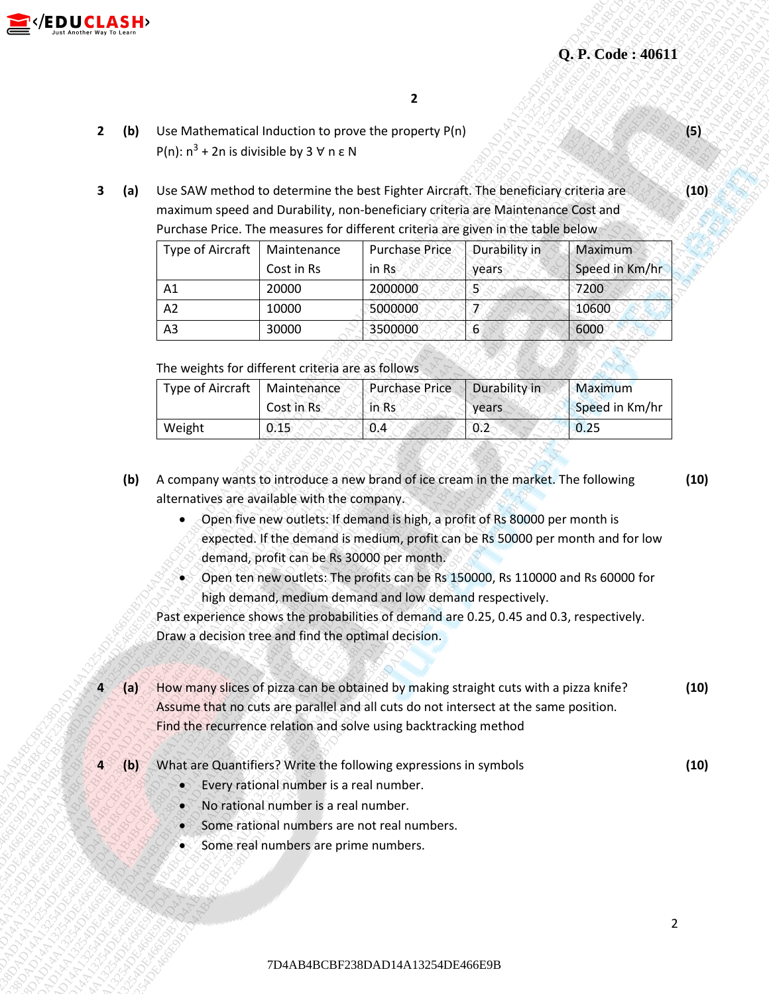

- **2 (b)** Use Mathematical Induction to prove the property P(n) P(n):  $n^3$  + 2n is divisible by 3  $\forall$  n ε N
- **3 (a)** Use SAW method to determine the best Fighter Aircraft. The beneficiary criteria are maximum speed and Durability, non-beneficiary criteria are Maintenance Cost and Purchase Price. The measures for different criteria are given in the table below

|                  |                     |                                                                                                                                                                              |                                                                                                                         |                                                                                                                                           |               | Q. P. Code: 40611 |                |
|------------------|---------------------|------------------------------------------------------------------------------------------------------------------------------------------------------------------------------|-------------------------------------------------------------------------------------------------------------------------|-------------------------------------------------------------------------------------------------------------------------------------------|---------------|-------------------|----------------|
| $\overline{2}$   | (b)                 | Use Mathematical Induction to prove the property P(n)<br>P(n): $n^3$ + 2n is divisible by 3 $\forall$ n $\epsilon$ N                                                         |                                                                                                                         | $\overline{2}$                                                                                                                            |               |                   | (5)            |
| 3                | (a)                 | Use SAW method to determine the best Fighter Aircraft. The beneficiary criteria are<br>maximum speed and Durability, non-beneficiary criteria are Maintenance Cost and       |                                                                                                                         |                                                                                                                                           |               |                   | (10)           |
|                  |                     |                                                                                                                                                                              |                                                                                                                         | Purchase Price. The measures for different criteria are given in the table below                                                          |               |                   |                |
|                  |                     | Type of Aircraft                                                                                                                                                             | Maintenance                                                                                                             | <b>Purchase Price</b>                                                                                                                     | Durability in | Maximum           |                |
|                  |                     |                                                                                                                                                                              | Cost in Rs                                                                                                              | in Rs                                                                                                                                     | years         | Speed in Km/hr    |                |
|                  |                     | A1                                                                                                                                                                           | 20000                                                                                                                   | 2000000                                                                                                                                   | 5             | 7200              |                |
|                  |                     | A2                                                                                                                                                                           | 10000                                                                                                                   | 5000000                                                                                                                                   | F             | 10600             |                |
|                  |                     | A3                                                                                                                                                                           | 30000                                                                                                                   | 3500000                                                                                                                                   | 6             | 6000              |                |
|                  |                     | The weights for different criteria are as follows                                                                                                                            |                                                                                                                         |                                                                                                                                           |               |                   |                |
|                  |                     | Type of Aircraft                                                                                                                                                             | Maintenance                                                                                                             | <b>Purchase Price</b>                                                                                                                     | Durability in | Maximum           |                |
|                  |                     |                                                                                                                                                                              | Cost in Rs                                                                                                              | in Rs                                                                                                                                     | years         | Speed in Km/hr    |                |
|                  |                     | Weight                                                                                                                                                                       | 0.15                                                                                                                    | 0.4                                                                                                                                       | 0.2           | 0.25              |                |
|                  |                     | ☜<br>Past experience shows the probabilities of demand are 0.25, 0.45 and 0.3, respectively.                                                                                 | demand, profit can be Rs 30000 per month.                                                                               | Open ten new outlets: The profits can be Rs 150000, Rs 110000 and Rs 60000 for<br>high demand, medium demand and low demand respectively. |               |                   |                |
|                  |                     | Draw a decision tree and find the optimal decision.                                                                                                                          |                                                                                                                         |                                                                                                                                           |               |                   |                |
| $\blacktriangle$ | $\langle a \rangle$ | How many slices of pizza can be obtained by making straight cuts with a pizza knife?<br>Assume that no cuts are parallel and all cuts do not intersect at the same position. |                                                                                                                         | Find the recurrence relation and solve using backtracking method                                                                          |               |                   |                |
| Д                | $\{b\}$             | What are Quantifiers? Write the following expressions in symbols<br>$\bullet$<br>$\bullet$<br>۹<br>×                                                                         | Every rational number is a real number.<br>No rational number is a real number.<br>Some real numbers are prime numbers. | Some rational numbers are not real numbers.                                                                                               |               |                   | (10)<br>(10)   |
|                  |                     |                                                                                                                                                                              |                                                                                                                         |                                                                                                                                           |               |                   | $\overline{2}$ |

| Type of Aircraft | Maintenance | <b>Purchase Price</b> | Durability in | <b>Maximum</b> |
|------------------|-------------|-----------------------|---------------|----------------|
|                  | Cost in Rs  | in Rs.                | vears.        | Speed in Km/hr |
| Weight           | 0.15        | 0.4                   | 0.2           | 0.25           |

- **(b)** A company wants to introduce a new brand of ice cream in the market. The following alternatives are available with the company. **(10)**
	- Open five new outlets: If demand is high, a profit of Rs 80000 per month is expected. If the demand is medium, profit can be Rs 50000 per month and for low demand, profit can be Rs 30000 per month.
	- Open ten new outlets: The profits can be Rs 150000, Rs 110000 and Rs 60000 for high demand, medium demand and low demand respectively.

- **4 (a)** How many slices of pizza can be obtained by making straight cuts with a pizza knife? Assume that no cuts are parallel and all cuts do not intersect at the same position. Find the recurrence relation and solve using backtracking method **(10)**
- **4 (b)** What are Quantifiers? Write the following expressions in symbols
	- Every rational number is a real number.
	- No rational number is a real number.
	- Some rational numbers are not real numbers.
	- Some real numbers are prime numbers.